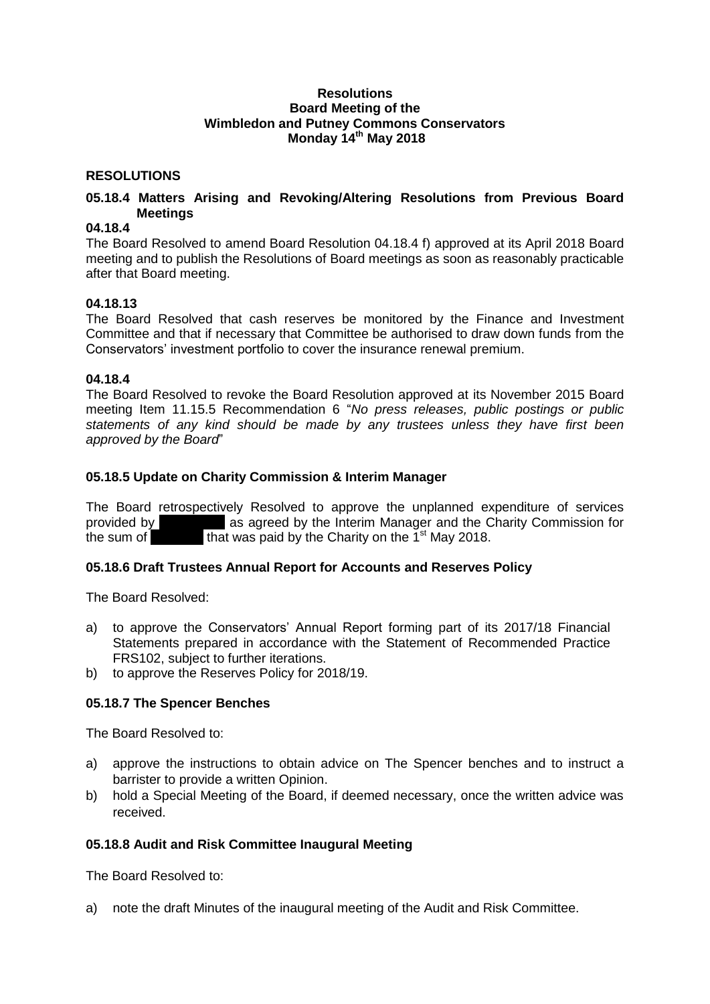#### **Resolutions Board Meeting of the Wimbledon and Putney Commons Conservators Monday 14th May 2018**

## **RESOLUTIONS**

## **05.18.4 Matters Arising and Revoking/Altering Resolutions from Previous Board Meetings**

# **04.18.4**

The Board Resolved to amend Board Resolution 04.18.4 f) approved at its April 2018 Board meeting and to publish the Resolutions of Board meetings as soon as reasonably practicable after that Board meeting.

#### **04.18.13**

The Board Resolved that cash reserves be monitored by the Finance and Investment Committee and that if necessary that Committee be authorised to draw down funds from the Conservators' investment portfolio to cover the insurance renewal premium.

#### **04.18.4**

The Board Resolved to revoke the Board Resolution approved at its November 2015 Board meeting Item 11.15.5 Recommendation 6 "*No press releases, public postings or public statements of any kind should be made by any trustees unless they have first been approved by the Board*"

## **05.18.5 Update on Charity Commission & Interim Manager**

The Board retrospectively Resolved to approve the unplanned expenditure of services provided by as agreed by the Interim Manager and the Charity Commission for the sum of  $\blacksquare$  that was paid by the Charity on the 1<sup>st</sup> May 2018. that was paid by the Charity on the  $1<sup>st</sup>$  May 2018.

# **05.18.6 Draft Trustees Annual Report for Accounts and Reserves Policy**

The Board Resolved:

- a) to approve the Conservators' Annual Report forming part of its 2017/18 Financial Statements prepared in accordance with the Statement of Recommended Practice FRS102, subject to further iterations.
- b) to approve the Reserves Policy for 2018/19.

## **05.18.7 The Spencer Benches**

The Board Resolved to:

- a) approve the instructions to obtain advice on The Spencer benches and to instruct a barrister to provide a written Opinion.
- b) hold a Special Meeting of the Board, if deemed necessary, once the written advice was received.

#### **05.18.8 Audit and Risk Committee Inaugural Meeting**

The Board Resolved to:

a) note the draft Minutes of the inaugural meeting of the Audit and Risk Committee.